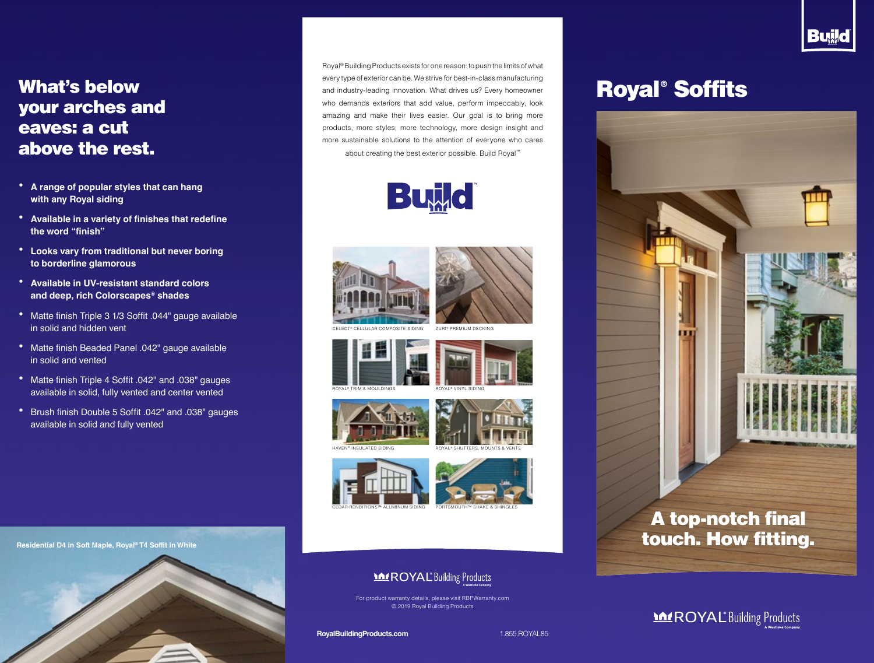### What's below your arches and eaves: a cut above the rest.

- **• A range of popular styles that can hang with any Royal siding**
- **• Available in a variety of finishes that redefine the word "finish"**
- **• Looks vary from traditional but never boring to borderline glamorous**
- **• Available in UV-resistant standard colors and deep, rich Colorscapes® shades**
- **•** Matte finish Triple 3 1/3 Soffit .044" gauge available in solid and hidden vent
- **•** Matte finish Beaded Panel .042" gauge available in solid and vented
- **•** Matte finish Triple 4 Soffit .042" and .038" gauges available in solid, fully vented and center vented
- **•** Brush finish Double 5 Soffit .042" and .038" gauges available in solid and fully vented

Residential D4 in Soft Maple, Royal® T4 Soffit in White to the control of the control of the control of the control of the control of the control of the control of the control of the control of the control of the control o



Royal® Building Products exists for one reason: to push the limits of what every type of exterior can be. We strive for best-in-class manufacturing and industry-leading innovation. What drives us? Every homeowner who demands exteriors that add value, perform impeccably, look amazing and make their lives easier. Our goal is to bring more products, more styles, more technology, more design insight and more sustainable solutions to the attention of everyone who cares about creating the best exterior possible. Build Royal™















CEDAR RENDITIONS™ ALUMINUM SIDING







#### **MEROYAL** Building Products

For product warranty details, please visit RBPWarranty.com © 2019 Royal Building Products

**RoyalBuildingProducts.com** 1.855.ROYAL85

# Royal® Soffits



**Build** 

## **MEROYAL** Building Products